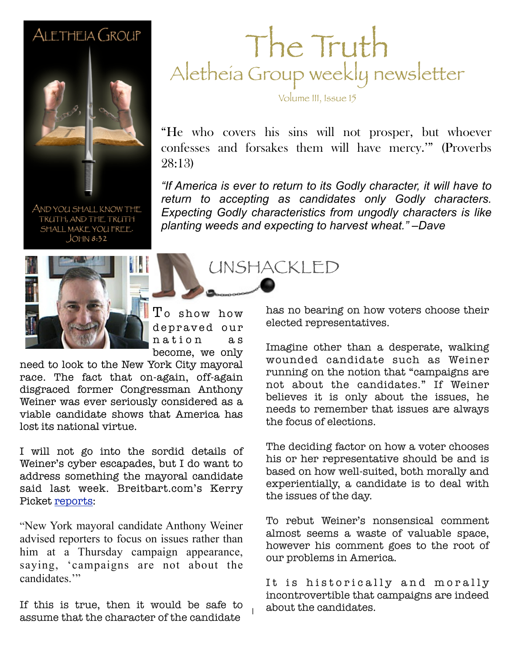#### ALETHEIA GROUP



AND YOU SHALL KNOW THE TRUTH, AND THE TRUTH SHALL MAKE YOU FREE.  $JOHM 8:32$ 



To show how depraved our nation as become, we only

1

need to look to the New York City mayoral race. The fact that on-again, off-again disgraced former Congressman Anthony Weiner was ever seriously considered as a viable candidate shows that America has lost its national virtue.

I will not go into the sordid details of Weiner's cyber escapades, but I do want to address something the mayoral candidate said last week. Breitbart.com's Kerry Picket [reports:](http://www.breitbart.com/Big-Government/2013/07/25/Weiner-Responds-to-Woman-s-TV-Appearance)

"New York mayoral candidate Anthony Weiner advised reporters to focus on issues rather than him at a Thursday campaign appearance, saying, 'campaigns are not about the candidates<sup>"</sup>

If this is true, then it would be safe to assume that the character of the candidate

#### The Truth Aletheia Group weekly newsletter

Volume III, Issue 15

"He who covers his sins will not prosper, but whoever confesses and forsakes them will have mercy.'" (Proverbs 28:13)

"If America is ever to return to its Godly character, it will have to *return to accepting as candidates only Godly characters. Expecting Godly characteristics from ungodly characters is like planting weeds and expecting to harvest wheat." –Dave*

UNSHACKLED

has no bearing on how voters choose their elected representatives.

Imagine other than a desperate, walking wounded candidate such as Weiner running on the notion that "campaigns are not about the candidates." If Weiner believes it is only about the issues, he needs to remember that issues are always the focus of elections.

The deciding factor on how a voter chooses his or her representative should be and is based on how well-suited, both morally and experientially, a candidate is to deal with the issues of the day.

To rebut Weiner's nonsensical comment almost seems a waste of valuable space, however his comment goes to the root of our problems in America.

It is historically and morally incontrovertible that campaigns are indeed about the candidates.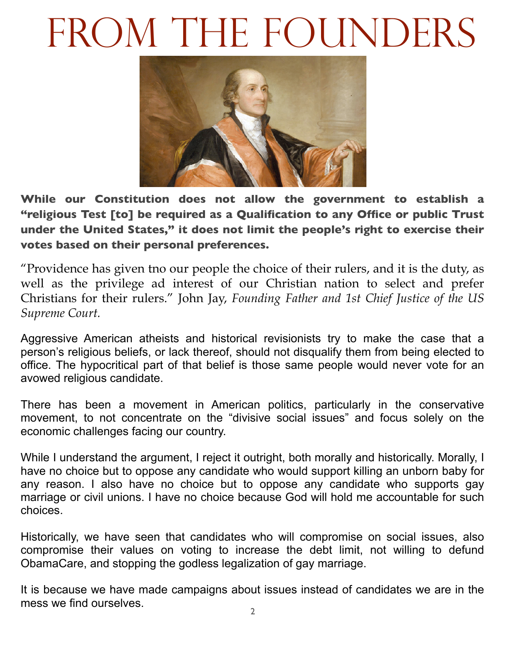# FROM THE FOUNDERS



**While our Constitution does not allow the government to establish a "religious Test [to] be required as a Qualification to any Office or public Trust under the United States," it does not limit the people's right to exercise their votes based on their personal preferences.** 

"Providence has given tno our people the choice of their rulers, and it is the duty, as well as the privilege ad interest of our Christian nation to select and prefer Christians for their rulers." John Jay, *Founding Father and 1st Chief Justice of the US Supreme Court.*

Aggressive American atheists and historical revisionists try to make the case that a person's religious beliefs, or lack thereof, should not disqualify them from being elected to office. The hypocritical part of that belief is those same people would never vote for an avowed religious candidate.

There has been a movement in American politics, particularly in the conservative movement, to not concentrate on the "divisive social issues" and focus solely on the economic challenges facing our country.

While I understand the argument, I reject it outright, both morally and historically. Morally, I have no choice but to oppose any candidate who would support killing an unborn baby for any reason. I also have no choice but to oppose any candidate who supports gay marriage or civil unions. I have no choice because God will hold me accountable for such choices.

Historically, we have seen that candidates who will compromise on social issues, also compromise their values on voting to increase the debt limit, not willing to defund ObamaCare, and stopping the godless legalization of gay marriage.

It is because we have made campaigns about issues instead of candidates we are in the mess we find ourselves.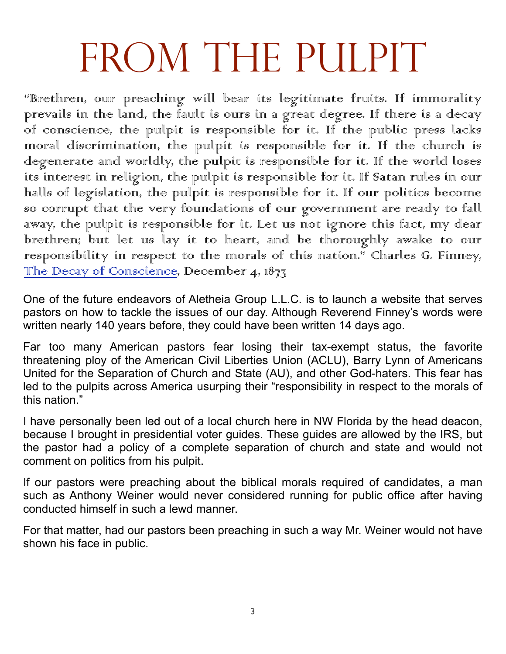# FROM THE PULPIT

"Brethren, our preaching will bear its legitimate fruits. If immorality prevails in the land, the fault is ours in a great degree. If there is a decay of conscience, the pulpit is responsible for it. If the public press lacks moral discrimination, the pulpit is responsible for it. If the church is degenerate and worldly, the pulpit is responsible for it. If the world loses its interest in religion, the pulpit is responsible for it. If Satan rules in our halls of legislation, the pulpit is responsible for it. If our politics become so corrupt that the very foundations of our government are ready to fall away, the pulpit is responsible for it. Let us not ignore this fact, my dear brethren; but let us lay it to heart, and be thoroughly awake to our responsibility in respect to the morals of this nation." Charles G. Finney, The Decay of Conscience, December 4, 1873

One of the future endeavors of Aletheia Group L.L.C. is to launch a website that serves pastors on how to tackle the issues of our day. Although Reverend Finney's words were written nearly 140 years before, they could have been written 14 days ago.

Far too many American pastors fear losing their tax-exempt status, the favorite threatening ploy of the American Civil Liberties Union (ACLU), Barry Lynn of Americans United for the Separation of Church and State (AU), and other God-haters. This fear has led to the pulpits across America usurping their "responsibility in respect to the morals of this nation."

I have personally been led out of a local church here in NW Florida by the head deacon, because I brought in presidential voter guides. These guides are allowed by the IRS, but the pastor had a policy of a complete separation of church and state and would not comment on politics from his pulpit.

If our pastors were preaching about the biblical morals required of candidates, a man such as Anthony Weiner would never considered running for public office after having conducted himself in such a lewd manner.

For that matter, had our pastors been preaching in such a way Mr. Weiner would not have shown his face in public.